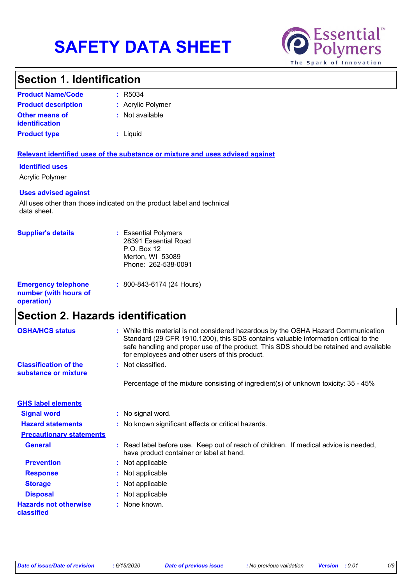# **SAFETY DATA SHEET**



### **Section 1. Identification**

| <b>Product Name/Code</b>                | : R5034           |
|-----------------------------------------|-------------------|
| <b>Product description</b>              | : Acrylic Polymer |
| <b>Other means of</b><br>identification | : Not available   |
| <b>Product type</b>                     | : Liguid          |

#### **Relevant identified uses of the substance or mixture and uses advised against**

#### **Identified uses**

Acrylic Polymer

#### **Uses advised against**

All uses other than those indicated on the product label and technical data sheet.

| <b>Supplier's details</b>                                         | : Essential Polymers<br>28391 Essential Road<br>P.O. Box 12<br>Merton, WI 53089<br>Phone: 262-538-0091 |
|-------------------------------------------------------------------|--------------------------------------------------------------------------------------------------------|
| <b>Emergency telephone</b><br>number (with hours of<br>operation) | $: 800 - 843 - 6174$ (24 Hours)                                                                        |

### **Section 2. Hazards identification**

| <b>OSHA/HCS status</b>                               | : While this material is not considered hazardous by the OSHA Hazard Communication<br>Standard (29 CFR 1910.1200), this SDS contains valuable information critical to the<br>safe handling and proper use of the product. This SDS should be retained and available<br>for employees and other users of this product. |
|------------------------------------------------------|-----------------------------------------------------------------------------------------------------------------------------------------------------------------------------------------------------------------------------------------------------------------------------------------------------------------------|
| <b>Classification of the</b><br>substance or mixture | : Not classified.                                                                                                                                                                                                                                                                                                     |
|                                                      | Percentage of the mixture consisting of ingredient(s) of unknown toxicity: 35 - 45%                                                                                                                                                                                                                                   |
| <b>GHS label elements</b>                            |                                                                                                                                                                                                                                                                                                                       |
| <b>Signal word</b>                                   | : No signal word.                                                                                                                                                                                                                                                                                                     |
| <b>Hazard statements</b>                             | : No known significant effects or critical hazards.                                                                                                                                                                                                                                                                   |
| <b>Precautionary statements</b>                      |                                                                                                                                                                                                                                                                                                                       |
| <b>General</b>                                       | : Read label before use. Keep out of reach of children. If medical advice is needed,<br>have product container or label at hand.                                                                                                                                                                                      |
| <b>Prevention</b>                                    | : Not applicable                                                                                                                                                                                                                                                                                                      |
| <b>Response</b>                                      | : Not applicable                                                                                                                                                                                                                                                                                                      |
| <b>Storage</b>                                       | : Not applicable                                                                                                                                                                                                                                                                                                      |
| <b>Disposal</b>                                      | : Not applicable                                                                                                                                                                                                                                                                                                      |
| <b>Hazards not otherwise</b><br>classified           | : None known.                                                                                                                                                                                                                                                                                                         |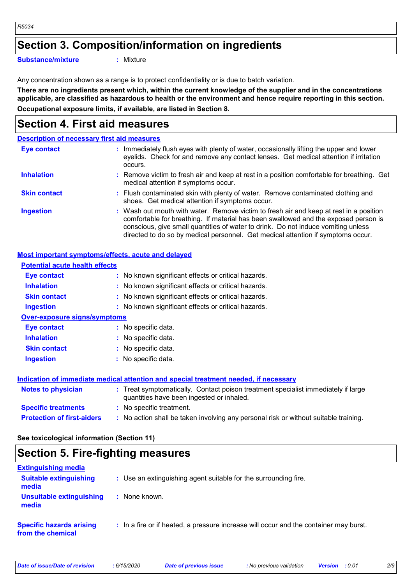### **Section 3. Composition/information on ingredients**

**Substance/mixture :**

: Mixture

Any concentration shown as a range is to protect confidentiality or is due to batch variation.

**There are no ingredients present which, within the current knowledge of the supplier and in the concentrations applicable, are classified as hazardous to health or the environment and hence require reporting in this section. Occupational exposure limits, if available, are listed in Section 8.**

### **Section 4. First aid measures**

|                     | <b>Description of necessary first aid measures</b>                                                                                                                                                                                                                                                                                                     |
|---------------------|--------------------------------------------------------------------------------------------------------------------------------------------------------------------------------------------------------------------------------------------------------------------------------------------------------------------------------------------------------|
| <b>Eye contact</b>  | : Immediately flush eyes with plenty of water, occasionally lifting the upper and lower<br>eyelids. Check for and remove any contact lenses. Get medical attention if irritation<br>occurs.                                                                                                                                                            |
| <b>Inhalation</b>   | : Remove victim to fresh air and keep at rest in a position comfortable for breathing. Get<br>medical attention if symptoms occur.                                                                                                                                                                                                                     |
| <b>Skin contact</b> | : Flush contaminated skin with plenty of water. Remove contaminated clothing and<br>shoes. Get medical attention if symptoms occur.                                                                                                                                                                                                                    |
| <b>Ingestion</b>    | : Wash out mouth with water. Remove victim to fresh air and keep at rest in a position<br>comfortable for breathing. If material has been swallowed and the exposed person is<br>conscious, give small quantities of water to drink. Do not induce vomiting unless<br>directed to do so by medical personnel. Get medical attention if symptoms occur. |

#### **Most important symptoms/effects, acute and delayed**

| <b>Potential acute health effects</b> |                                                                                                                                |
|---------------------------------------|--------------------------------------------------------------------------------------------------------------------------------|
| Eye contact                           | : No known significant effects or critical hazards.                                                                            |
| <b>Inhalation</b>                     | : No known significant effects or critical hazards.                                                                            |
| <b>Skin contact</b>                   | : No known significant effects or critical hazards.                                                                            |
| <b>Ingestion</b>                      | : No known significant effects or critical hazards.                                                                            |
| <b>Over-exposure signs/symptoms</b>   |                                                                                                                                |
| Eye contact                           | : No specific data.                                                                                                            |
| <b>Inhalation</b>                     | : No specific data.                                                                                                            |
| <b>Skin contact</b>                   | : No specific data.                                                                                                            |
| <b>Ingestion</b>                      | : No specific data.                                                                                                            |
|                                       | Indication of immediate medical attention and special treatment needed, if necessary                                           |
| <b>Notes to physician</b>             | : Treat symptomatically. Contact poison treatment specialist immediately if large<br>quantities have been ingested or inhaled. |
| <b>Specific treatments</b>            | : No specific treatment.                                                                                                       |
| <b>Protection of first-aiders</b>     | : No action shall be taken involving any personal risk or without suitable training.                                           |

**See toxicological information (Section 11)**

### **Section 5. Fire-fighting measures**

| <b>Extinguishing media</b>                           |                                                                                       |
|------------------------------------------------------|---------------------------------------------------------------------------------------|
| <b>Suitable extinguishing</b><br>media               | : Use an extinguishing agent suitable for the surrounding fire.                       |
| <b>Unsuitable extinguishing</b><br>media             | : None known.                                                                         |
| <b>Specific hazards arising</b><br>from the chemical | : In a fire or if heated, a pressure increase will occur and the container may burst. |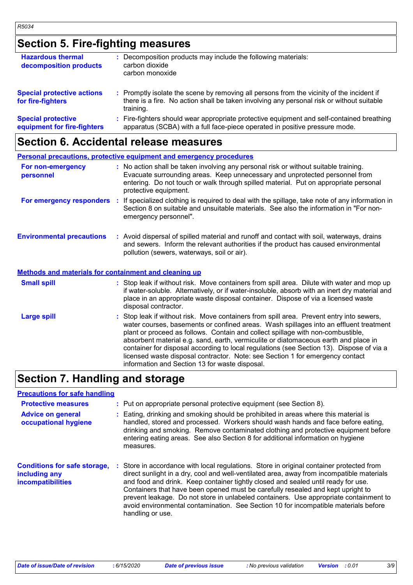### **Section 5. Fire-fighting measures**

| <b>Hazardous thermal</b><br>decomposition products       | : Decomposition products may include the following materials:<br>carbon dioxide<br>carbon monoxide                                                                                                  |
|----------------------------------------------------------|-----------------------------------------------------------------------------------------------------------------------------------------------------------------------------------------------------|
| <b>Special protective actions</b><br>for fire-fighters   | : Promptly isolate the scene by removing all persons from the vicinity of the incident if<br>there is a fire. No action shall be taken involving any personal risk or without suitable<br>training. |
| <b>Special protective</b><br>equipment for fire-fighters | : Fire-fighters should wear appropriate protective equipment and self-contained breathing<br>apparatus (SCBA) with a full face-piece operated in positive pressure mode.                            |

#### **Section 6. Accidental release measures**

| Personal precautions, protective equipment and emergency procedures |                                                                                                                                                                                                                                                                                                                                                                                                                                                                                                                                                                                            |  |
|---------------------------------------------------------------------|--------------------------------------------------------------------------------------------------------------------------------------------------------------------------------------------------------------------------------------------------------------------------------------------------------------------------------------------------------------------------------------------------------------------------------------------------------------------------------------------------------------------------------------------------------------------------------------------|--|
| For non-emergency<br>personnel                                      | : No action shall be taken involving any personal risk or without suitable training.<br>Evacuate surrounding areas. Keep unnecessary and unprotected personnel from<br>entering. Do not touch or walk through spilled material. Put on appropriate personal<br>protective equipment.                                                                                                                                                                                                                                                                                                       |  |
| For emergency responders                                            | If specialized clothing is required to deal with the spillage, take note of any information in<br><b>A</b><br>Section 8 on suitable and unsuitable materials. See also the information in "For non-<br>emergency personnel".                                                                                                                                                                                                                                                                                                                                                               |  |
| <b>Environmental precautions</b>                                    | : Avoid dispersal of spilled material and runoff and contact with soil, waterways, drains<br>and sewers. Inform the relevant authorities if the product has caused environmental<br>pollution (sewers, waterways, soil or air).                                                                                                                                                                                                                                                                                                                                                            |  |
| Methods and materials for containment and cleaning up               |                                                                                                                                                                                                                                                                                                                                                                                                                                                                                                                                                                                            |  |
| <b>Small spill</b>                                                  | : Stop leak if without risk. Move containers from spill area. Dilute with water and mop up<br>if water-soluble. Alternatively, or if water-insoluble, absorb with an inert dry material and<br>place in an appropriate waste disposal container. Dispose of via a licensed waste<br>disposal contractor.                                                                                                                                                                                                                                                                                   |  |
| <b>Large spill</b>                                                  | : Stop leak if without risk. Move containers from spill area. Prevent entry into sewers,<br>water courses, basements or confined areas. Wash spillages into an effluent treatment<br>plant or proceed as follows. Contain and collect spillage with non-combustible,<br>absorbent material e.g. sand, earth, vermiculite or diatomaceous earth and place in<br>container for disposal according to local regulations (see Section 13). Dispose of via a<br>licensed waste disposal contractor. Note: see Section 1 for emergency contact<br>information and Section 13 for waste disposal. |  |

### **Section 7. Handling and storage**

#### **Advice on general occupational hygiene Conditions for safe storage, including any incompatibilities** Eating, drinking and smoking should be prohibited in areas where this material is **:** handled, stored and processed. Workers should wash hands and face before eating, drinking and smoking. Remove contaminated clothing and protective equipment before entering eating areas. See also Section 8 for additional information on hygiene measures. Store in accordance with local regulations. Store in original container protected from **:** direct sunlight in a dry, cool and well-ventilated area, away from incompatible materials and food and drink. Keep container tightly closed and sealed until ready for use. Containers that have been opened must be carefully resealed and kept upright to prevent leakage. Do not store in unlabeled containers. Use appropriate containment to avoid environmental contamination. See Section 10 for incompatible materials before handling or use. **Protective measures : Put on appropriate personal protective equipment (see Section 8). Precautions for safe handling**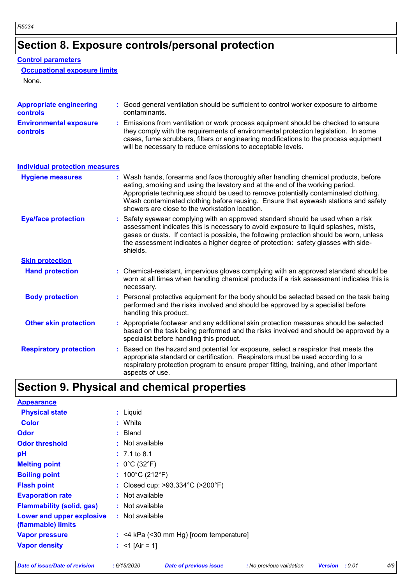### **Section 8. Exposure controls/personal protection**

#### **Control parameters**

#### **Occupational exposure limits**

None.

| <b>Appropriate engineering</b><br><b>controls</b> |    | : Good general ventilation should be sufficient to control worker exposure to airborne<br>contaminants.                                                                                                                                                                                                                                                                                           |
|---------------------------------------------------|----|---------------------------------------------------------------------------------------------------------------------------------------------------------------------------------------------------------------------------------------------------------------------------------------------------------------------------------------------------------------------------------------------------|
| <b>Environmental exposure</b><br><b>controls</b>  |    | : Emissions from ventilation or work process equipment should be checked to ensure<br>they comply with the requirements of environmental protection legislation. In some<br>cases, fume scrubbers, filters or engineering modifications to the process equipment<br>will be necessary to reduce emissions to acceptable levels.                                                                   |
| <b>Individual protection measures</b>             |    |                                                                                                                                                                                                                                                                                                                                                                                                   |
| <b>Hygiene measures</b>                           |    | : Wash hands, forearms and face thoroughly after handling chemical products, before<br>eating, smoking and using the lavatory and at the end of the working period.<br>Appropriate techniques should be used to remove potentially contaminated clothing.<br>Wash contaminated clothing before reusing. Ensure that eyewash stations and safety<br>showers are close to the workstation location. |
| <b>Eye/face protection</b>                        |    | : Safety eyewear complying with an approved standard should be used when a risk<br>assessment indicates this is necessary to avoid exposure to liquid splashes, mists,<br>gases or dusts. If contact is possible, the following protection should be worn, unless<br>the assessment indicates a higher degree of protection: safety glasses with side-<br>shields.                                |
| <b>Skin protection</b>                            |    |                                                                                                                                                                                                                                                                                                                                                                                                   |
| <b>Hand protection</b>                            |    | : Chemical-resistant, impervious gloves complying with an approved standard should be<br>worn at all times when handling chemical products if a risk assessment indicates this is<br>necessary.                                                                                                                                                                                                   |
| <b>Body protection</b>                            |    | : Personal protective equipment for the body should be selected based on the task being<br>performed and the risks involved and should be approved by a specialist before<br>handling this product.                                                                                                                                                                                               |
| <b>Other skin protection</b>                      |    | : Appropriate footwear and any additional skin protection measures should be selected<br>based on the task being performed and the risks involved and should be approved by a<br>specialist before handling this product.                                                                                                                                                                         |
| <b>Respiratory protection</b>                     | t. | Based on the hazard and potential for exposure, select a respirator that meets the<br>appropriate standard or certification. Respirators must be used according to a<br>respiratory protection program to ensure proper fitting, training, and other important<br>aspects of use.                                                                                                                 |

## **Section 9. Physical and chemical properties**

| <b>Appearance</b>                               |                                                       |
|-------------------------------------------------|-------------------------------------------------------|
| <b>Physical state</b>                           | : Liquid                                              |
| <b>Color</b>                                    | : White                                               |
| <b>Odor</b>                                     | $:$ Bland                                             |
| <b>Odor threshold</b>                           | : Not available                                       |
| pH                                              | $: 7.1 \text{ to } 8.1$                               |
| <b>Melting point</b>                            | : $0^{\circ}$ C (32 $^{\circ}$ F)                     |
| <b>Boiling point</b>                            | : $100^{\circ}$ C (212 $^{\circ}$ F)                  |
| <b>Flash point</b>                              | : Closed cup: $>93.334^{\circ}$ C ( $>200^{\circ}$ F) |
| <b>Evaporation rate</b>                         | $:$ Not available                                     |
| <b>Flammability (solid, gas)</b>                | : Not available                                       |
| Lower and upper explosive<br>(flammable) limits | : Not available                                       |
| <b>Vapor pressure</b>                           | $:$ <4 kPa (<30 mm Hg) [room temperature]             |
| <b>Vapor density</b>                            | : $<$ 1 [Air = 1]                                     |
|                                                 |                                                       |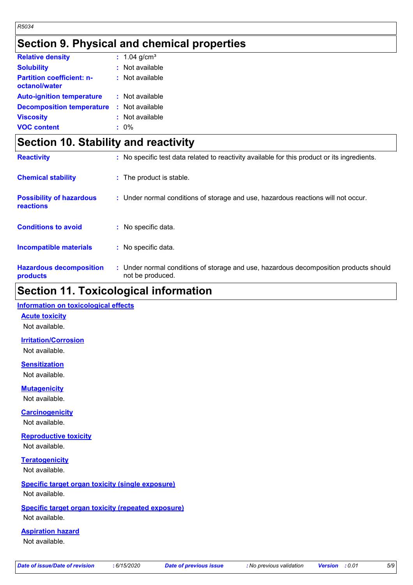### **Section 9. Physical and chemical properties**

| <b>Relative density</b>                           | : $1.04$ g/cm <sup>3</sup> |
|---------------------------------------------------|----------------------------|
| <b>Solubility</b>                                 | : Not available            |
| <b>Partition coefficient: n-</b><br>octanol/water | : Not available            |
| <b>Auto-ignition temperature</b>                  | : Not available            |
| <b>Decomposition temperature</b>                  | : Not available            |
| <b>Viscosity</b>                                  | : Not available            |
| <b>VOC content</b>                                | $: 0\%$                    |

### **Section 10. Stability and reactivity**

| <b>Reactivity</b>                            | : No specific test data related to reactivity available for this product or its ingredients.              |
|----------------------------------------------|-----------------------------------------------------------------------------------------------------------|
| <b>Chemical stability</b>                    | : The product is stable.                                                                                  |
| <b>Possibility of hazardous</b><br>reactions | : Under normal conditions of storage and use, hazardous reactions will not occur.                         |
| <b>Conditions to avoid</b>                   | : No specific data.                                                                                       |
| <b>Incompatible materials</b>                | : No specific data.                                                                                       |
| <b>Hazardous decomposition</b><br>products   | : Under normal conditions of storage and use, hazardous decomposition products should<br>not be produced. |

### **Section 11. Toxicological information**

#### **Information on toxicological effects**

**Acute toxicity**

Not available.

**Irritation/Corrosion**

Not available.

**Sensitization** Not available.

**Mutagenicity**

Not available.

**Carcinogenicity**

Not available.

**Reproductive toxicity** Not available.

**Teratogenicity** Not available.

#### **Specific target organ toxicity (single exposure)** Not available.

#### **Specific target organ toxicity (repeated exposure)** Not available.

**Aspiration hazard**

Not available.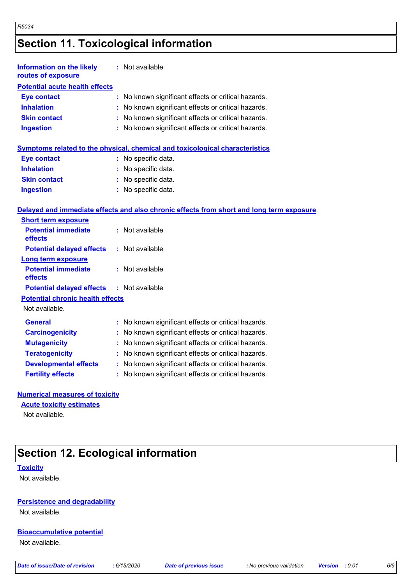### **Section 11. Toxicological information**

*R5034*

| <b>Information on the likely</b><br>routes of exposure | : Not available                                                                          |
|--------------------------------------------------------|------------------------------------------------------------------------------------------|
| <b>Potential acute health effects</b>                  |                                                                                          |
| <b>Eye contact</b>                                     | No known significant effects or critical hazards.                                        |
| <b>Inhalation</b>                                      | No known significant effects or critical hazards.                                        |
| <b>Skin contact</b>                                    | No known significant effects or critical hazards.                                        |
| <b>Ingestion</b>                                       | : No known significant effects or critical hazards.                                      |
|                                                        | Symptoms related to the physical, chemical and toxicological characteristics             |
| <b>Eye contact</b>                                     | No specific data.                                                                        |
| <b>Inhalation</b>                                      | : No specific data.                                                                      |
| <b>Skin contact</b>                                    | : No specific data.                                                                      |
| <b>Ingestion</b>                                       | : No specific data.                                                                      |
|                                                        | Delayed and immediate effects and also chronic effects from short and long term exposure |
| <b>Short term exposure</b>                             |                                                                                          |
| <b>Potential immediate</b><br>effects                  | : Not available                                                                          |
| <b>Potential delayed effects</b>                       | : Not available                                                                          |
| Long term exposure                                     |                                                                                          |
| <b>Potential immediate</b><br>effects                  | : Not available                                                                          |
| <b>Potential delayed effects</b>                       | : Not available                                                                          |
| <b>Potential chronic health effects</b>                |                                                                                          |
| Not available.                                         |                                                                                          |
| <b>General</b>                                         | : No known significant effects or critical hazards.                                      |
| <b>Carcinogenicity</b>                                 | No known significant effects or critical hazards.                                        |
| <b>Mutagenicity</b>                                    | No known significant effects or critical hazards.                                        |
| <b>Teratogenicity</b>                                  | : No known significant effects or critical hazards.                                      |
| <b>Developmental effects</b>                           | No known significant effects or critical hazards.                                        |

**Fertility effects :** No known significant effects or critical hazards.

#### **Numerical measures of toxicity**

#### **Acute toxicity estimates**

Not available.

### **Section 12. Ecological information**

#### **Toxicity**

Not available.

#### **Persistence and degradability**

Not available.

#### **Bioaccumulative potential**

Not available.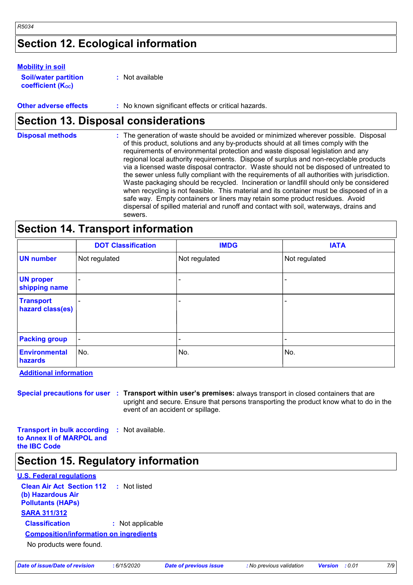### **Section 12. Ecological information**

#### **Mobility in soil**

*R5034*

| <b>Soil/water partition</b> | : Not available |
|-----------------------------|-----------------|
| <b>coefficient (Koc)</b>    |                 |

**Other adverse effects** : No known significant effects or critical hazards.

### **Section 13. Disposal considerations**

| <b>Disposal methods</b> | : The generation of waste should be avoided or minimized wherever possible. Disposal<br>of this product, solutions and any by-products should at all times comply with the<br>requirements of environmental protection and waste disposal legislation and any<br>regional local authority requirements. Dispose of surplus and non-recyclable products<br>via a licensed waste disposal contractor. Waste should not be disposed of untreated to<br>the sewer unless fully compliant with the requirements of all authorities with jurisdiction.<br>Waste packaging should be recycled. Incineration or landfill should only be considered<br>when recycling is not feasible. This material and its container must be disposed of in a<br>safe way. Empty containers or liners may retain some product residues. Avoid<br>dispersal of spilled material and runoff and contact with soil, waterways, drains and |
|-------------------------|-----------------------------------------------------------------------------------------------------------------------------------------------------------------------------------------------------------------------------------------------------------------------------------------------------------------------------------------------------------------------------------------------------------------------------------------------------------------------------------------------------------------------------------------------------------------------------------------------------------------------------------------------------------------------------------------------------------------------------------------------------------------------------------------------------------------------------------------------------------------------------------------------------------------|
|                         | sewers.                                                                                                                                                                                                                                                                                                                                                                                                                                                                                                                                                                                                                                                                                                                                                                                                                                                                                                         |

### **Section 14. Transport information**

|                                      | <b>DOT Classification</b> | <b>IMDG</b>   | <b>IATA</b>              |
|--------------------------------------|---------------------------|---------------|--------------------------|
| <b>UN</b> number                     | Not regulated             | Not regulated | Not regulated            |
| <b>UN proper</b><br>shipping name    | ۰                         |               |                          |
| <b>Transport</b><br>hazard class(es) |                           |               | $\overline{\phantom{a}}$ |
| <b>Packing group</b>                 | $\blacksquare$            | ٠             | ٠                        |
| Environmental<br>hazards             | No.                       | No.           | No.                      |

**Additional information**

**Special precautions for user Transport within user's premises:** always transport in closed containers that are **:** upright and secure. Ensure that persons transporting the product know what to do in the event of an accident or spillage.

**Transport in bulk according :** Not available. **to Annex II of MARPOL and the IBC Code**

### **Section 15. Regulatory information**

#### **U.S. Federal regulations**

**Clean Air Act Section 112 (b) Hazardous Air Pollutants (HAPs) :** Not listed **SARA 311/312 Classification :** Not applicable No products were found. **Composition/information on ingredients**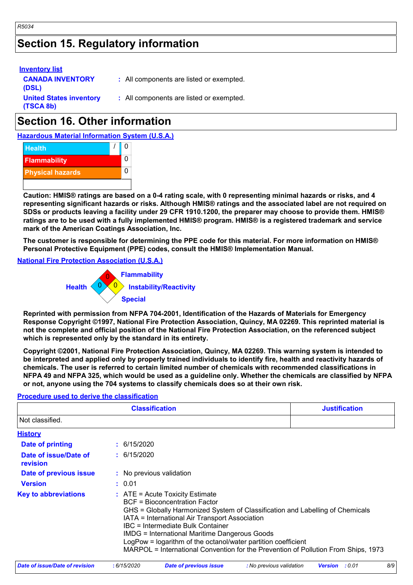### **Section 15. Regulatory information**

| <b>Inventory list</b>                       |                                          |
|---------------------------------------------|------------------------------------------|
| <b>CANADA INVENTORY</b><br>(DSL)            | : All components are listed or exempted. |
| <b>United States inventory</b><br>(TSCA 8b) | : All components are listed or exempted. |
|                                             |                                          |

### **Section 16. Other information**

**Hazardous Material Information System (U.S.A.)**



**Caution: HMIS® ratings are based on a 0-4 rating scale, with 0 representing minimal hazards or risks, and 4 representing significant hazards or risks. Although HMIS® ratings and the associated label are not required on SDSs or products leaving a facility under 29 CFR 1910.1200, the preparer may choose to provide them. HMIS® ratings are to be used with a fully implemented HMIS® program. HMIS® is a registered trademark and service mark of the American Coatings Association, Inc.**

**The customer is responsible for determining the PPE code for this material. For more information on HMIS® Personal Protective Equipment (PPE) codes, consult the HMIS® Implementation Manual.**

#### **National Fire Protection Association (U.S.A.)**



**Reprinted with permission from NFPA 704-2001, Identification of the Hazards of Materials for Emergency Response Copyright ©1997, National Fire Protection Association, Quincy, MA 02269. This reprinted material is not the complete and official position of the National Fire Protection Association, on the referenced subject which is represented only by the standard in its entirety.**

**Copyright ©2001, National Fire Protection Association, Quincy, MA 02269. This warning system is intended to be interpreted and applied only by properly trained individuals to identify fire, health and reactivity hazards of chemicals. The user is referred to certain limited number of chemicals with recommended classifications in NFPA 49 and NFPA 325, which would be used as a guideline only. Whether the chemicals are classified by NFPA or not, anyone using the 704 systems to classify chemicals does so at their own risk.**

#### **Procedure used to derive the classification**

| <b>Classification</b><br><b>Justification</b> |  |                                                                                                                                                                                                                                                                                                                                                                                                                                                                           |  |
|-----------------------------------------------|--|---------------------------------------------------------------------------------------------------------------------------------------------------------------------------------------------------------------------------------------------------------------------------------------------------------------------------------------------------------------------------------------------------------------------------------------------------------------------------|--|
| Not classified.                               |  |                                                                                                                                                                                                                                                                                                                                                                                                                                                                           |  |
| <b>History</b>                                |  |                                                                                                                                                                                                                                                                                                                                                                                                                                                                           |  |
| Date of printing                              |  | : 6/15/2020                                                                                                                                                                                                                                                                                                                                                                                                                                                               |  |
| Date of issue/Date of<br>revision             |  | : 6/15/2020                                                                                                                                                                                                                                                                                                                                                                                                                                                               |  |
| <b>Date of previous issue</b>                 |  | : No previous validation                                                                                                                                                                                                                                                                                                                                                                                                                                                  |  |
| <b>Version</b>                                |  | : 0.01                                                                                                                                                                                                                                                                                                                                                                                                                                                                    |  |
| <b>Key to abbreviations</b>                   |  | $\therefore$ ATE = Acute Toxicity Estimate<br><b>BCF</b> = Bioconcentration Factor<br>GHS = Globally Harmonized System of Classification and Labelling of Chemicals<br>IATA = International Air Transport Association<br>IBC = Intermediate Bulk Container<br><b>IMDG = International Maritime Dangerous Goods</b><br>LogPow = logarithm of the octanol/water partition coefficient<br>MARPOL = International Convention for the Prevention of Pollution From Ships, 1973 |  |